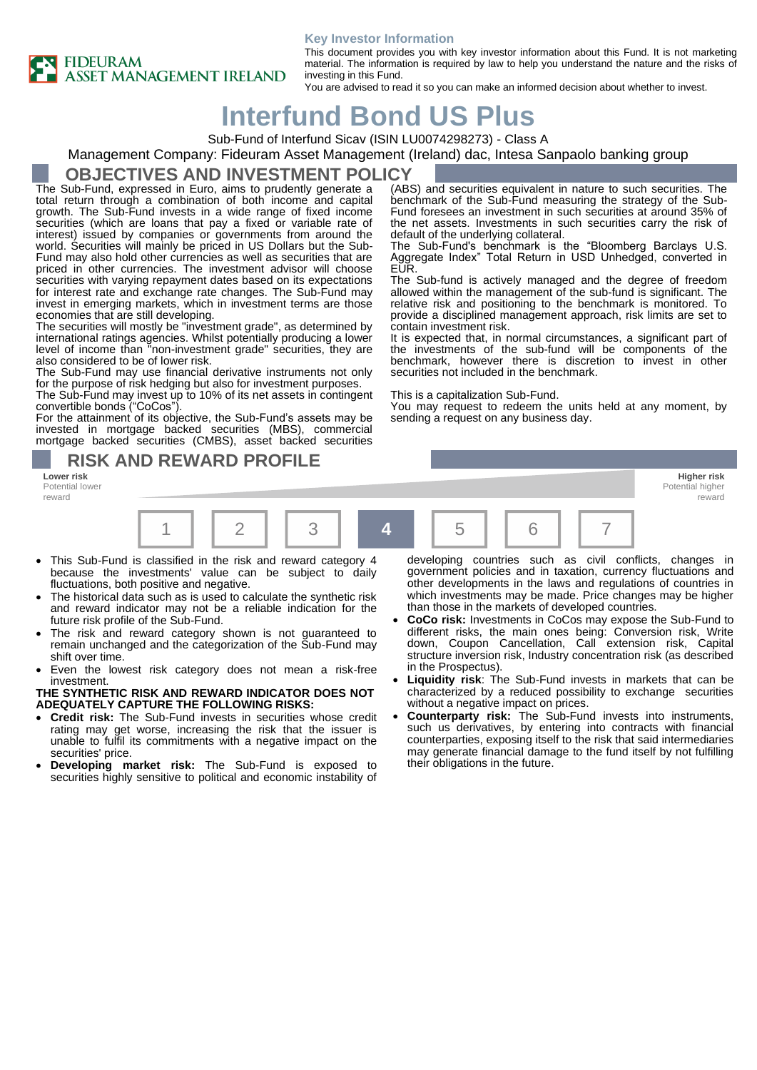#### **Key Investor Information**



This document provides you with key investor information about this Fund. It is not marketing material. The information is required by law to help you understand the nature and the risks of investing in this Fund.

> (ABS) and securities equivalent in nature to such securities. The benchmark of the Sub-Fund measuring the strategy of the Sub-Fund foresees an investment in such securities at around 35% of the net assets. Investments in such securities carry the risk of

> The Sub-Fund's benchmark is the "Bloomberg Barclays U.S. Aggregate Index" Total Return in USD Unhedged, converted in

> The Sub-fund is actively managed and the degree of freedom allowed within the management of the sub-fund is significant. The relative risk and positioning to the benchmark is monitored. To provide a disciplined management approach, risk limits are set to

> It is expected that, in normal circumstances, a significant part of the investments of the sub-fund will be components of the benchmark, however there is discretion to invest in other

> You may request to redeem the units held at any moment, by

You are advised to read it so you can make an informed decision about whether to invest.

default of the underlying collateral.

securities not included in the benchmark.

sending a request on any business day.

This is a capitalization Sub-Fund.

contain investment risk.

# **Interfund Bond US Plus**

Sub-Fund of Interfund Sicav (ISIN LU0074298273) - Class A

### Management Company: Fideuram Asset Management (Ireland) dac, Intesa Sanpaolo banking group

EUR.

### **OBJECTIVES AND INVESTMENT POLICY**

The Sub-Fund, expressed in Euro, aims to prudently generate a total return through a combination of both income and capital growth. The Sub-Fund invests in a wide range of fixed income securities (which are loans that pay a fixed or variable rate of interest) issued by companies or governments from around the world. Securities will mainly be priced in US Dollars but the Sub-Fund may also hold other currencies as well as securities that are priced in other currencies. The investment advisor will choose securities with varying repayment dates based on its expectations for interest rate and exchange rate changes. The Sub-Fund may invest in emerging markets, which in investment terms are those economies that are still developing.

The securities will mostly be "investment grade", as determined by international ratings agencies. Whilst potentially producing a lower level of income than "non-investment grade" securities, they are also considered to be of lower risk.

The Sub-Fund may use financial derivative instruments not only for the purpose of risk hedging but also for investment purposes.

The Sub-Fund may invest up to 10% of its net assets in contingent convertible bonds ("CoCos").

For the attainment of its objective, the Sub-Fund's assets may be invested in mortgage backed securities (MBS), commercial mortgage backed securities (CMBS), asset backed securities

**RISK AND REWARD PROFILE**

Potential lower reward



- This Sub-Fund is classified in the risk and reward category 4 because the investments' value can be subject to daily fluctuations, both positive and negative.
- The historical data such as is used to calculate the synthetic risk and reward indicator may not be a reliable indication for the future risk profile of the Sub-Fund.
- The risk and reward category shown is not guaranteed to remain unchanged and the categorization of the Sub-Fund may shift over time.
- Even the lowest risk category does not mean a risk-free investment.

**THE SYNTHETIC RISK AND REWARD INDICATOR DOES NOT ADEQUATELY CAPTURE THE FOLLOWING RISKS:**

- **Credit risk:** The Sub-Fund invests in securities whose credit rating may get worse, increasing the risk that the issuer is unable to fulfil its commitments with a negative impact on the securities' price.
- **Developing market risk:** The Sub-Fund is exposed to securities highly sensitive to political and economic instability of

developing countries such as civil conflicts, changes in government policies and in taxation, currency fluctuations and other developments in the laws and regulations of countries in which investments may be made. Price changes may be higher than those in the markets of developed countries.

reward

- **CoCo risk:** Investments in CoCos may expose the Sub-Fund to different risks, the main ones being: Conversion risk, Write down, Coupon Cancellation, Call extension risk, Capital structure inversion risk, Industry concentration risk (as described in the Prospectus).
- **Liquidity risk**: The Sub-Fund invests in markets that can be characterized by a reduced possibility to exchange securities without a negative impact on prices.
- **Counterparty risk:** The Sub-Fund invests into instruments, such us derivatives, by entering into contracts with financial counterparties, exposing itself to the risk that said intermediaries may generate financial damage to the fund itself by not fulfilling their obligations in the future.